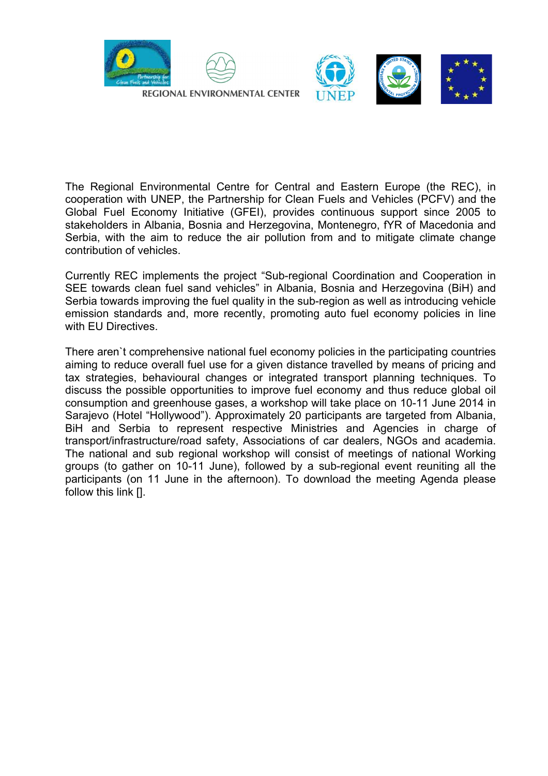



The Regional Environmental Centre for Central and Eastern Europe (the REC), in cooperation with UNEP, the Partnership for Clean Fuels and Vehicles (PCFV) and the Global Fuel Economy Initiative (GFEI), provides continuous support since 2005 to stakeholders in Albania, Bosnia and Herzegovina, Montenegro, fYR of Macedonia and Serbia, with the aim to reduce the air pollution from and to mitigate climate change contribution of vehicles.

Currently REC implements the project "Sub-regional Coordination and Cooperation in SEE towards clean fuel sand vehicles" in Albania, Bosnia and Herzegovina (BiH) and Serbia towards improving the fuel quality in the sub-region as well as introducing vehicle emission standards and, more recently, promoting auto fuel economy policies in line with EU Directives.

There aren`t comprehensive national fuel economy policies in the participating countries aiming to reduce overall fuel use for a given distance travelled by means of pricing and tax strategies, behavioural changes or integrated transport planning techniques. To discuss the possible opportunities to improve fuel economy and thus reduce global oil consumption and greenhouse gases, a workshop will take place on 10-11 June 2014 in Sarajevo (Hotel "Hollywood"). Approximately 20 participants are targeted from Albania, BiH and Serbia to represent respective Ministries and Agencies in charge of transport/infrastructure/road safety, Associations of car dealers, NGOs and academia. The national and sub regional workshop will consist of meetings of national Working groups (to gather on 10-11 June), followed by a sub-regional event reuniting all the participants (on 11 June in the afternoon). To download the meeting Agenda please follow this link  $\Pi$ .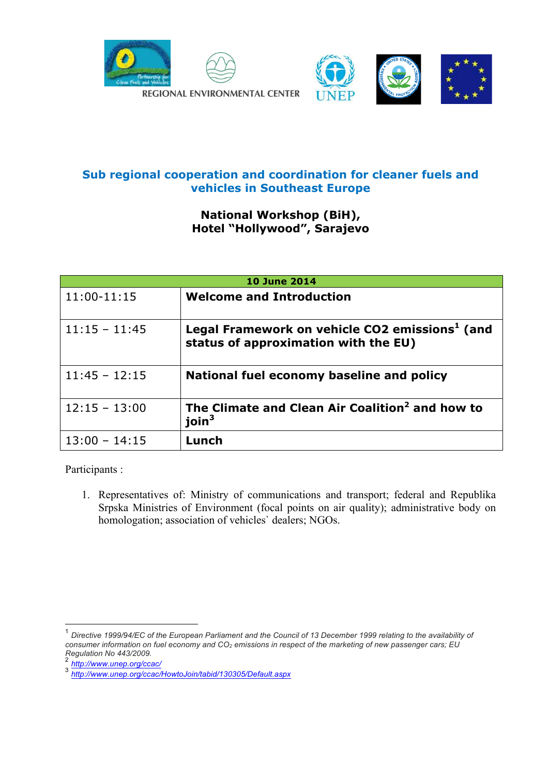



### **National Workshop (BiH), Hotel "Hollywood", Sarajevo**

| <b>10 June 2014</b> |                                                                                                    |  |
|---------------------|----------------------------------------------------------------------------------------------------|--|
| 11:00-11:15         | <b>Welcome and Introduction</b>                                                                    |  |
| $11:15 - 11:45$     | Legal Framework on vehicle CO2 emissions <sup>1</sup> (and<br>status of approximation with the EU) |  |
| $11:45 - 12:15$     | National fuel economy baseline and policy                                                          |  |
| $12:15 - 13:00$     | The Climate and Clean Air Coalition <sup>2</sup> and how to<br>$\text{ioin}^3$                     |  |
| $13:00 - 14:15$     | Lunch                                                                                              |  |

Participants :

1. Representatives of: Ministry of communications and transport; federal and Republika Srpska Ministries of Environment (focal points on air quality); administrative body on homologation; association of vehicles` dealers; NGOs.

<sup>1</sup> *Directive 1999/94/EC of the European Parliament and the Council of 13 December 1999 relating to the availability of consumer information on fuel economy and CO2 emissions in respect of the marketing of new passenger cars; EU Regulation No 443/2009.* <sup>2</sup> *http://www.unep.org/ccac/*

<sup>3</sup> *http://www.unep.org/ccac/HowtoJoin/tabid/130305/Default.aspx*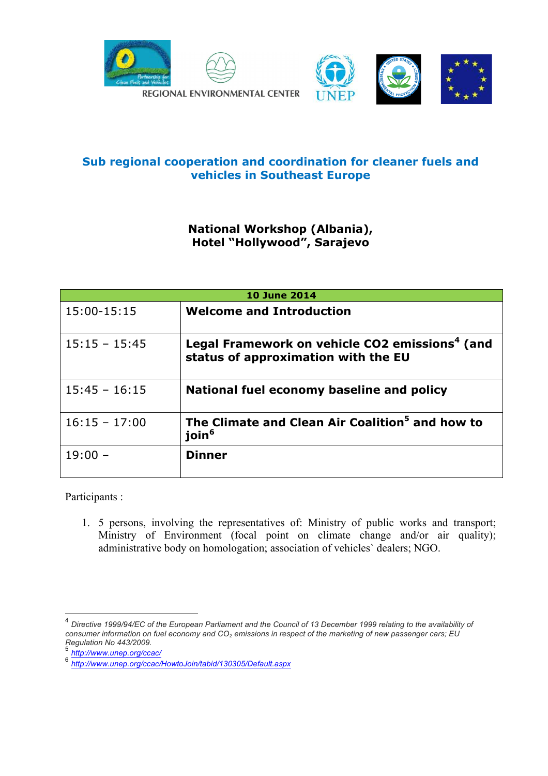



# **National Workshop (Albania), Hotel "Hollywood", Sarajevo**

| <b>10 June 2014</b> |                                                                                                   |  |
|---------------------|---------------------------------------------------------------------------------------------------|--|
| 15:00-15:15         | <b>Welcome and Introduction</b>                                                                   |  |
| $15:15 - 15:45$     | Legal Framework on vehicle CO2 emissions <sup>4</sup> (and<br>status of approximation with the EU |  |
| $15:45 - 16:15$     | National fuel economy baseline and policy                                                         |  |
| $16:15 - 17:00$     | The Climate and Clean Air Coalition <sup>5</sup> and how to<br>join <sup>6</sup>                  |  |
| $19:00 -$           | <b>Dinner</b>                                                                                     |  |

Participants :

1. 5 persons, involving the representatives of: Ministry of public works and transport; Ministry of Environment (focal point on climate change and/or air quality); administrative body on homologation; association of vehicles` dealers; NGO.

 <sup>4</sup> *Directive 1999/94/EC of the European Parliament and the Council of 13 December 1999 relating to the availability of consumer information on fuel economy and CO2 emissions in respect of the marketing of new passenger cars; EU Regulation No 443/2009.*<br>*Regulation No 443/2009.* 

<sup>5</sup> *http://www.unep.org/ccac/*

<sup>6</sup> *http://www.unep.org/ccac/HowtoJoin/tabid/130305/Default.aspx*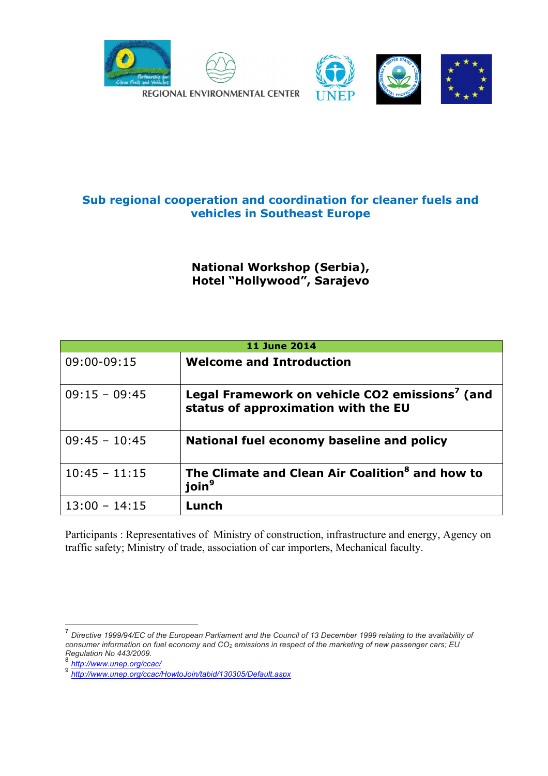



**National Workshop (Serbia), Hotel "Hollywood", Sarajevo**

| <b>11 June 2014</b> |                                                                                                   |  |
|---------------------|---------------------------------------------------------------------------------------------------|--|
| 09:00-09:15         | <b>Welcome and Introduction</b>                                                                   |  |
| $09:15 - 09:45$     | Legal Framework on vehicle CO2 emissions <sup>7</sup> (and<br>status of approximation with the EU |  |
| $09:45 - 10:45$     | National fuel economy baseline and policy                                                         |  |
| $10:45 - 11:15$     | The Climate and Clean Air Coalition <sup>8</sup> and how to<br>join <sup>9</sup>                  |  |
| $13:00 - 14:15$     | Lunch                                                                                             |  |

Participants : Representatives of Ministry of construction, infrastructure and energy, Agency on traffic safety; Ministry of trade, association of car importers, Mechanical faculty.

<sup>7</sup> *Directive 1999/94/EC of the European Parliament and the Council of 13 December 1999 relating to the availability of consumer information on fuel economy and CO2 emissions in respect of the marketing of new passenger cars; EU Regulation No 443/2009.* <sup>8</sup> *http://www.unep.org/ccac/*

<sup>9</sup> *http://www.unep.org/ccac/HowtoJoin/tabid/130305/Default.aspx*